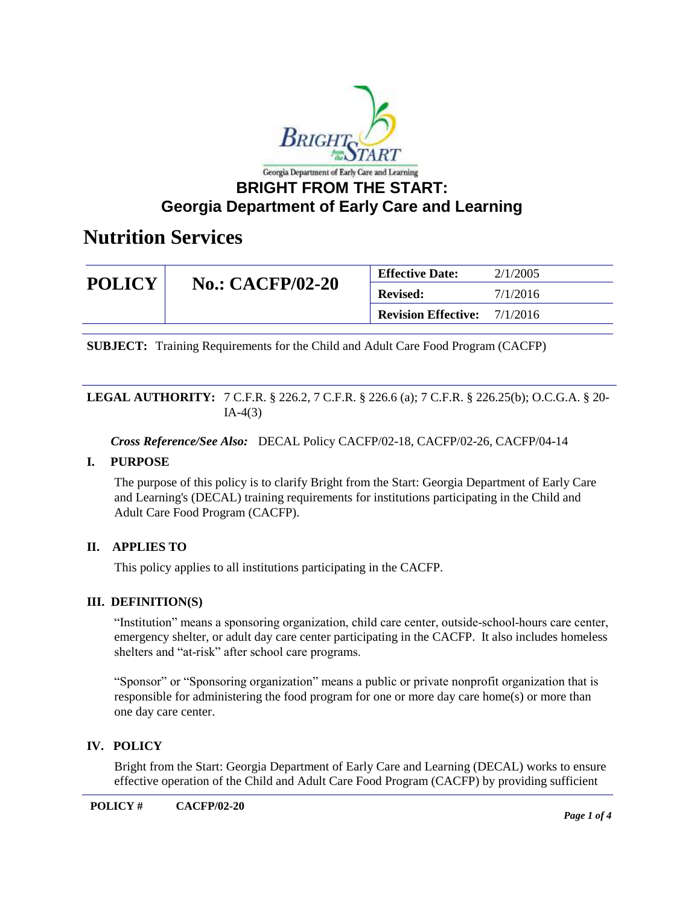

### **BRIGHT FROM THE START: Georgia Department of Early Care and Learning**

### **Nutrition Services**

| <b>POLICY</b> | <b>No.: CACFP/02-20</b> | <b>Effective Date:</b>     | 2/1/2005 |
|---------------|-------------------------|----------------------------|----------|
|               |                         | <b>Revised:</b>            | 7/1/2016 |
|               |                         | <b>Revision Effective:</b> | 7/1/2016 |

**SUBJECT:** Training Requirements for the Child and Adult Care Food Program (CACFP)

#### **LEGAL AUTHORITY:** 7 C.F.R. § 226.2, 7 C.F.R. § 226.6 (a); 7 C.F.R. § 226.25(b); O.C.G.A. § 20-  $IA-4(3)$

*Cross Reference/See Also:* DECAL Policy CACFP/02-18, CACFP/02-26, CACFP/04-14

#### **I. PURPOSE**

The purpose of this policy is to clarify Bright from the Start: Georgia Department of Early Care and Learning's (DECAL) training requirements for institutions participating in the Child and Adult Care Food Program (CACFP).

#### **II. APPLIES TO**

This policy applies to all institutions participating in the CACFP.

#### **III. DEFINITION(S)**

"Institution" means a sponsoring organization, child care center, outside-school-hours care center, emergency shelter, or adult day care center participating in the CACFP. It also includes homeless shelters and "at-risk" after school care programs.

"Sponsor" or "Sponsoring organization" means a public or private nonprofit organization that is responsible for administering the food program for one or more day care home(s) or more than one day care center.

#### **IV. POLICY**

Bright from the Start: Georgia Department of Early Care and Learning (DECAL) works to ensure effective operation of the Child and Adult Care Food Program (CACFP) by providing sufficient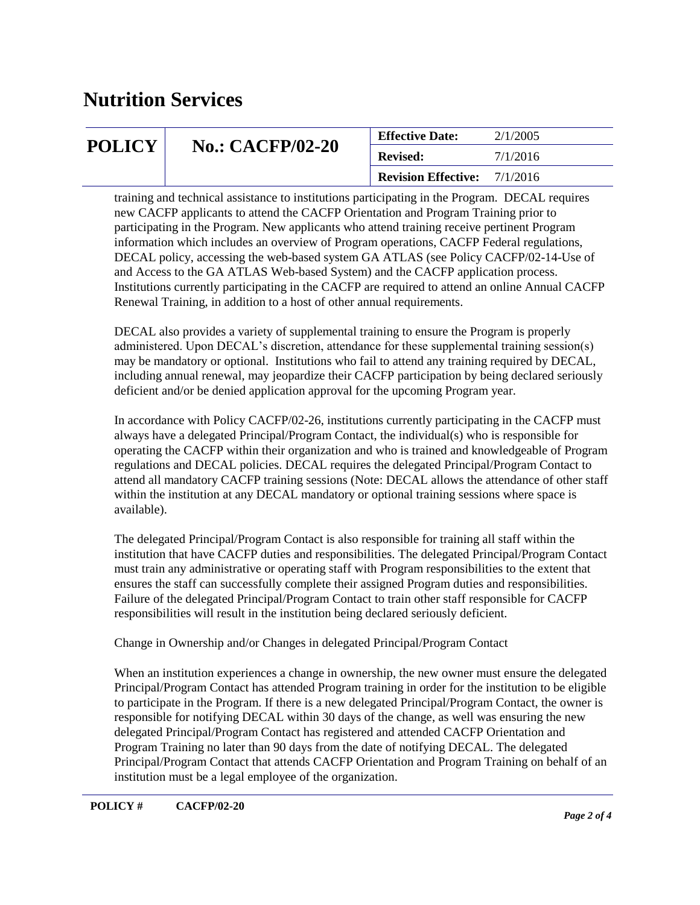## **Nutrition Services**

| <b>POLICY</b> | <b>No.: CACFP/02-20</b> | <b>Effective Date:</b>              | 2/1/2005 |
|---------------|-------------------------|-------------------------------------|----------|
|               |                         | <b>Revised:</b>                     | 7/1/2016 |
|               |                         | <b>Revision Effective:</b> 7/1/2016 |          |

training and technical assistance to institutions participating in the Program. DECAL requires new CACFP applicants to attend the CACFP Orientation and Program Training prior to participating in the Program. New applicants who attend training receive pertinent Program information which includes an overview of Program operations, CACFP Federal regulations, DECAL policy, accessing the web-based system GA ATLAS (see Policy CACFP/02-14-Use of and Access to the GA ATLAS Web-based System) and the CACFP application process. Institutions currently participating in the CACFP are required to attend an online Annual CACFP Renewal Training, in addition to a host of other annual requirements.

DECAL also provides a variety of supplemental training to ensure the Program is properly administered. Upon DECAL's discretion, attendance for these supplemental training session(s) may be mandatory or optional. Institutions who fail to attend any training required by DECAL, including annual renewal, may jeopardize their CACFP participation by being declared seriously deficient and/or be denied application approval for the upcoming Program year.

In accordance with Policy CACFP/02-26, institutions currently participating in the CACFP must always have a delegated Principal/Program Contact, the individual(s) who is responsible for operating the CACFP within their organization and who is trained and knowledgeable of Program regulations and DECAL policies. DECAL requires the delegated Principal/Program Contact to attend all mandatory CACFP training sessions (Note: DECAL allows the attendance of other staff within the institution at any DECAL mandatory or optional training sessions where space is available).

The delegated Principal/Program Contact is also responsible for training all staff within the institution that have CACFP duties and responsibilities. The delegated Principal/Program Contact must train any administrative or operating staff with Program responsibilities to the extent that ensures the staff can successfully complete their assigned Program duties and responsibilities. Failure of the delegated Principal/Program Contact to train other staff responsible for CACFP responsibilities will result in the institution being declared seriously deficient.

Change in Ownership and/or Changes in delegated Principal/Program Contact

When an institution experiences a change in ownership, the new owner must ensure the delegated Principal/Program Contact has attended Program training in order for the institution to be eligible to participate in the Program. If there is a new delegated Principal/Program Contact, the owner is responsible for notifying DECAL within 30 days of the change, as well was ensuring the new delegated Principal/Program Contact has registered and attended CACFP Orientation and Program Training no later than 90 days from the date of notifying DECAL. The delegated Principal/Program Contact that attends CACFP Orientation and Program Training on behalf of an institution must be a legal employee of the organization.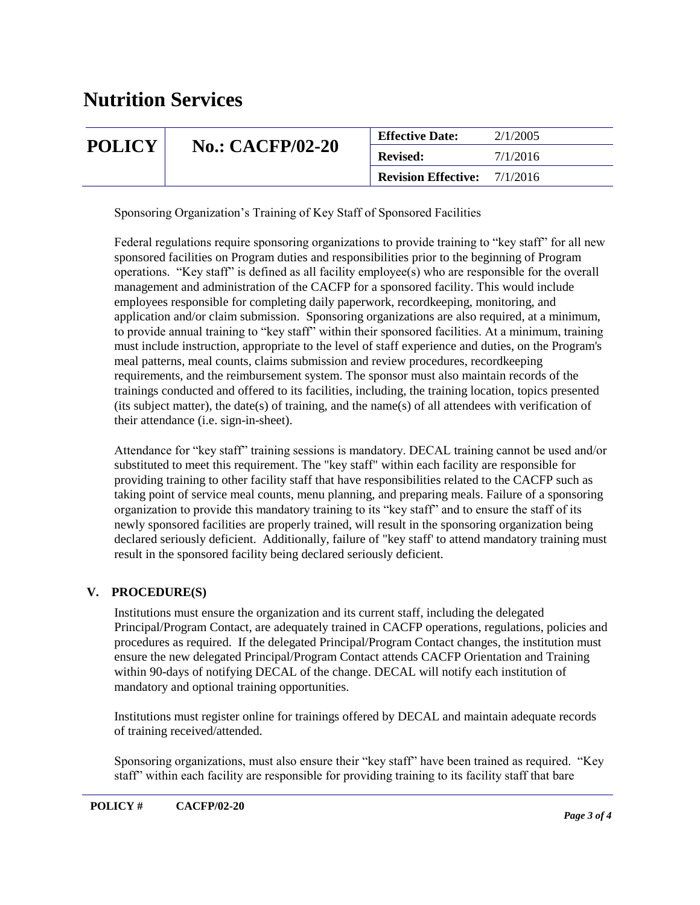## **Nutrition Services**

| <b>POLICY</b> | <b>No.: CACFP/02-20</b> | <b>Effective Date:</b>     | 2/1/2005 |
|---------------|-------------------------|----------------------------|----------|
|               |                         | <b>Revised:</b>            | 7/1/2016 |
|               |                         | <b>Revision Effective:</b> | 7/1/2016 |

Sponsoring Organization's Training of Key Staff of Sponsored Facilities

Federal regulations require sponsoring organizations to provide training to "key staff" for all new sponsored facilities on Program duties and responsibilities prior to the beginning of Program operations. "Key staff" is defined as all facility employee(s) who are responsible for the overall management and administration of the CACFP for a sponsored facility. This would include employees responsible for completing daily paperwork, recordkeeping, monitoring, and application and/or claim submission. Sponsoring organizations are also required, at a minimum, to provide annual training to "key staff" within their sponsored facilities. At a minimum, training must include instruction, appropriate to the level of staff experience and duties, on the Program's meal patterns, meal counts, claims submission and review procedures, recordkeeping requirements, and the reimbursement system. The sponsor must also maintain records of the trainings conducted and offered to its facilities, including, the training location, topics presented (its subject matter), the date(s) of training, and the name(s) of all attendees with verification of their attendance (i.e. sign-in-sheet).

Attendance for "key staff" training sessions is mandatory. DECAL training cannot be used and/or substituted to meet this requirement. The "key staff" within each facility are responsible for providing training to other facility staff that have responsibilities related to the CACFP such as taking point of service meal counts, menu planning, and preparing meals. Failure of a sponsoring organization to provide this mandatory training to its "key staff" and to ensure the staff of its newly sponsored facilities are properly trained, will result in the sponsoring organization being declared seriously deficient. Additionally, failure of "key staff' to attend mandatory training must result in the sponsored facility being declared seriously deficient.

#### **V. PROCEDURE(S)**

Institutions must ensure the organization and its current staff, including the delegated Principal/Program Contact, are adequately trained in CACFP operations, regulations, policies and procedures as required. If the delegated Principal/Program Contact changes, the institution must ensure the new delegated Principal/Program Contact attends CACFP Orientation and Training within 90-days of notifying DECAL of the change. DECAL will notify each institution of mandatory and optional training opportunities.

Institutions must register online for trainings offered by DECAL and maintain adequate records of training received/attended.

Sponsoring organizations, must also ensure their "key staff" have been trained as required. "Key staff" within each facility are responsible for providing training to its facility staff that bare